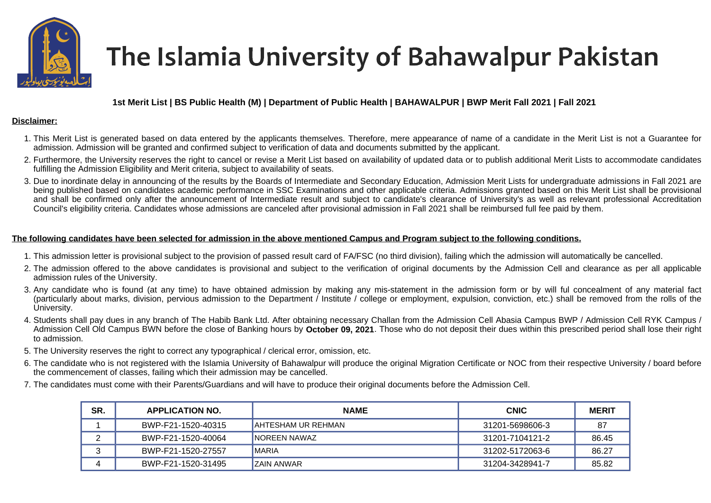

# The Islamia University of Bahawalpur Pakistan

## **1st Merit List | BS Public Health (M) | Department of Public Health | BAHAWALPUR | BWP Merit Fall 2021 | Fall 2021**

#### **Disclaimer:**

- 1. This Merit List is generated based on data entered by the applicants themselves. Therefore, mere appearance of name of a candidate in the Merit List is not a Guarantee for admission. Admission will be granted and confirmed subject to verification of data and documents submitted by the applicant.
- 2. Furthermore, the University reserves the right to cancel or revise a Merit List based on availability of updated data or to publish additional Merit Lists to accommodate candidates fulfilling the Admission Eligibility and Merit criteria, subject to availability of seats.
- 3. Due to inordinate delay in announcing of the results by the Boards of Intermediate and Secondary Education, Admission Merit Lists for undergraduate admissions in Fall 2021 are being published based on candidates academic performance in SSC Examinations and other applicable criteria. Admissions granted based on this Merit List shall be provisional and shall be confirmed only after the announcement of Intermediate result and subject to candidate's clearance of University's as well as relevant professional Accreditation Council's eligibility criteria. Candidates whose admissions are canceled after provisional admission in Fall 2021 shall be reimbursed full fee paid by them.

### **The following candidates have been selected for admission in the above mentioned Campus and Program subject to the following conditions.**

- 1. This admission letter is provisional subject to the provision of passed result card of FA/FSC (no third division), failing which the admission will automatically be cancelled.
- 2. The admission offered to the above candidates is provisional and subject to the verification of original documents by the Admission Cell and clearance as per all applicable admission rules of the University.
- 3. Any candidate who is found (at any time) to have obtained admission by making any mis-statement in the admission form or by will ful concealment of any material fact (particularly about marks, division, pervious admission to the Department / Institute / college or employment, expulsion, conviction, etc.) shall be removed from the rolls of the University.
- 4. Students shall pay dues in any branch of The Habib Bank Ltd. After obtaining necessary Challan from the Admission Cell Abasia Campus BWP / Admission Cell RYK Campus / Admission Cell Old Campus BWN before the close of Banking hours by **October 09, 2021**. Those who do not deposit their dues within this prescribed period shall lose their right to admission.
- 5. The University reserves the right to correct any typographical / clerical error, omission, etc.
- 6. The candidate who is not registered with the Islamia University of Bahawalpur will produce the original Migration Certificate or NOC from their respective University / board before the commencement of classes, failing which their admission may be cancelled.
- 7. The candidates must come with their Parents/Guardians and will have to produce their original documents before the Admission Cell.

| SR. | <b>APPLICATION NO.</b> | <b>NAME</b>               | <b>CNIC</b>     | <b>MERIT</b> |
|-----|------------------------|---------------------------|-----------------|--------------|
|     | BWP-F21-1520-40315     | <b>AHTESHAM UR REHMAN</b> | 31201-5698606-3 |              |
|     | BWP-F21-1520-40064     | <b>INOREEN NAWAZ</b>      | 31201-7104121-2 | 86.45        |
|     | BWP-F21-1520-27557     | IMARIA                    | 31202-5172063-6 | 86.27        |
|     | BWP-F21-1520-31495     | <b>ZAIN ANWAR</b>         | 31204-3428941-7 | 85.82        |